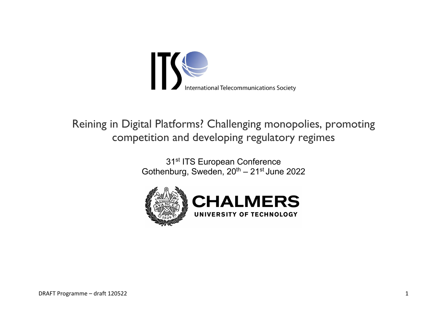

# Reining in Digital Platforms? Challenging monopolies, promoting competition and developing regulatory regimes

31<sup>st</sup> ITS European Conference Gothenburg, Sweden,  $20^{th} - 21^{st}$  June 2022

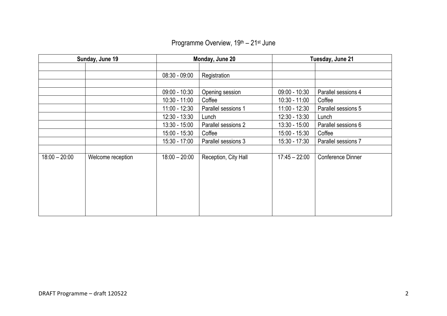| Sunday, June 19 |                   | Monday, June 20 |                      | Tuesday, June 21 |                     |
|-----------------|-------------------|-----------------|----------------------|------------------|---------------------|
|                 |                   |                 |                      |                  |                     |
|                 |                   | $08:30 - 09:00$ | Registration         |                  |                     |
|                 |                   |                 |                      |                  |                     |
|                 |                   | $09:00 - 10:30$ | Opening session      | $09:00 - 10:30$  | Parallel sessions 4 |
|                 |                   | $10:30 - 11:00$ | Coffee               | $10:30 - 11:00$  | Coffee              |
|                 |                   | 11:00 - 12:30   | Parallel sessions 1  | $11:00 - 12:30$  | Parallel sessions 5 |
|                 |                   | 12:30 - 13:30   | Lunch                | $12:30 - 13:30$  | Lunch               |
|                 |                   | $13:30 - 15:00$ | Parallel sessions 2  | $13:30 - 15:00$  | Parallel sessions 6 |
|                 |                   | 15:00 - 15:30   | Coffee               | 15:00 - 15:30    | Coffee              |
|                 |                   | 15:30 - 17:00   | Parallel sessions 3  | $15:30 - 17:30$  | Parallel sessions 7 |
|                 |                   |                 |                      |                  |                     |
| $18:00 - 20:00$ | Welcome reception | $18:00 - 20:00$ | Reception, City Hall | $17:45 - 22:00$  | Conference Dinner   |
|                 |                   |                 |                      |                  |                     |
|                 |                   |                 |                      |                  |                     |
|                 |                   |                 |                      |                  |                     |
|                 |                   |                 |                      |                  |                     |
|                 |                   |                 |                      |                  |                     |
|                 |                   |                 |                      |                  |                     |
|                 |                   |                 |                      |                  |                     |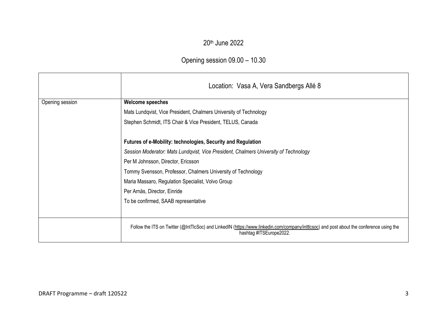### 20th June 2022

## Opening session 09.00 – 10.30

|                 | Location: Vasa A, Vera Sandbergs Allé 8                                                                                                                             |  |  |  |  |
|-----------------|---------------------------------------------------------------------------------------------------------------------------------------------------------------------|--|--|--|--|
| Opening session | <b>Welcome speeches</b>                                                                                                                                             |  |  |  |  |
|                 | Mats Lundqvist, Vice President, Chalmers University of Technology                                                                                                   |  |  |  |  |
|                 | Stephen Schmidt, ITS Chair & Vice President, TELUS, Canada                                                                                                          |  |  |  |  |
|                 | Futures of e-Mobility: technologies, Security and Regulation                                                                                                        |  |  |  |  |
|                 | Session Moderator: Mats Lundqvist, Vice President, Chalmers University of Technology                                                                                |  |  |  |  |
|                 | Per M Johnsson, Director, Ericsson                                                                                                                                  |  |  |  |  |
|                 | Tommy Svensson, Professor, Chalmers University of Technology                                                                                                        |  |  |  |  |
|                 | Maria Massaro, Regulation Specialist, Volvo Group                                                                                                                   |  |  |  |  |
|                 | Per Arnäs, Director, Einride                                                                                                                                        |  |  |  |  |
|                 | To be confirmed, SAAB representative                                                                                                                                |  |  |  |  |
|                 | Follow the ITS on Twitter (@IntTlcSoc) and LinkedIN (https://www.linkedin.com/company/inttlcsoc) and post about the conference using the<br>hashtag #ITSEurope2022. |  |  |  |  |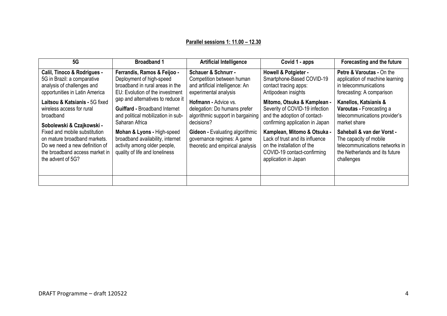#### **Parallel sessions 1: 11.00 – 12.30**

| 5G                                                                                                                                                     | <b>Broadband 1</b>                                                                                                                | <b>Artificial Intelligence</b>                                                                                          | Covid 1 - apps                                                                                                                                      | Forecasting and the future                                                                                                             |
|--------------------------------------------------------------------------------------------------------------------------------------------------------|-----------------------------------------------------------------------------------------------------------------------------------|-------------------------------------------------------------------------------------------------------------------------|-----------------------------------------------------------------------------------------------------------------------------------------------------|----------------------------------------------------------------------------------------------------------------------------------------|
| Calil, Tinoco & Rodrigues -<br>5G in Brazil: a comparative<br>analysis of challenges and<br>opportunities in Latin America                             | Ferrandis, Ramos & Feijoo -<br>Deployment of high-speed<br>broadband in rural areas in the<br>EU: Evolution of the investment     | <b>Schauer &amp; Schnurr -</b><br>Competition between human<br>and artificial intelligence: An<br>experimental analysis | <b>Howell &amp; Potgieter -</b><br>Smartphone-Based COVID-19<br>contact tracing apps:<br>Antipodean insights                                        | <b>Petre &amp; Varoutas - On the</b><br>application of machine learning<br>in telecommunications<br>forecasting: A comparison          |
| Laitsou & Katsianis - 5G fixed<br>wireless access for rural<br>broadband<br>Sobolewski & Czajkowski -                                                  | gap and alternatives to reduce it<br><b>Guiffard - Broadband Internet</b><br>and political mobilization in sub-<br>Saharan Africa | <b>Hofmann - Advice vs.</b><br>delegation: Do humans prefer<br>algorithmic support in bargaining<br>decisions?          | Mitomo, Otsuka & Kamplean -<br>Severity of COVID-19 infection<br>and the adoption of contact-<br>confirming application in Japan                    | Kanellos, Katsianis &<br>Varoutas - Forecasting a<br>telecommunications provider's<br>market share                                     |
| Fixed and mobile substitution<br>on mature broadband markets.<br>Do we need a new definition of<br>the broadband access market in<br>the advent of 5G? | Mohan & Lyons - High-speed<br>broadband availability, internet<br>activity among older people,<br>quality of life and loneliness  | <b>Gideon - Evaluating algorithmic</b><br>governance regimes: A game<br>theoretic and empirical analysis                | Kamplean, Mitomo & Otsuka -<br>Lack of trust and its influence<br>on the installation of the<br>COVID-19 contact-confirming<br>application in Japan | Sahebali & van der Vorst -<br>The capacity of mobile<br>telecommunications networks in<br>the Netherlands and its future<br>challenges |
|                                                                                                                                                        |                                                                                                                                   |                                                                                                                         |                                                                                                                                                     |                                                                                                                                        |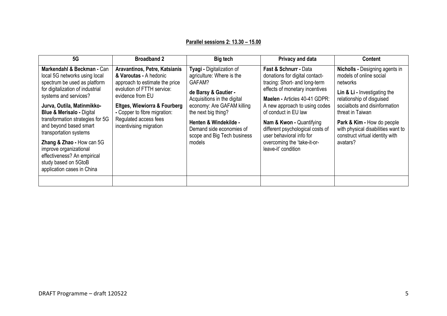#### **Parallel sessions 2: 13.30 – 15.00**

| 5G                                                                                                                                                                                                                                                                                                                                                                                                                                                                 | <b>Broadband 2</b>                                                                                                                                                                                                                                              | <b>Big tech</b>                                                                                                                                                                                                                                                            | Privacy and data                                                                                                                                                                                                                                                                                                                                                                  | <b>Content</b>                                                                                                                                                                                                                                                                                                    |
|--------------------------------------------------------------------------------------------------------------------------------------------------------------------------------------------------------------------------------------------------------------------------------------------------------------------------------------------------------------------------------------------------------------------------------------------------------------------|-----------------------------------------------------------------------------------------------------------------------------------------------------------------------------------------------------------------------------------------------------------------|----------------------------------------------------------------------------------------------------------------------------------------------------------------------------------------------------------------------------------------------------------------------------|-----------------------------------------------------------------------------------------------------------------------------------------------------------------------------------------------------------------------------------------------------------------------------------------------------------------------------------------------------------------------------------|-------------------------------------------------------------------------------------------------------------------------------------------------------------------------------------------------------------------------------------------------------------------------------------------------------------------|
| Markendahl & Beckman - Can<br>local 5G networks using local<br>spectrum be used as platform<br>for digitalization of industrial<br>systems and services?<br>Jurva, Outila, Matinmikko-<br><b>Blue &amp; Merisalo - Digital</b><br>transformation strategies for 5G<br>and beyond based smart<br>transportation systems<br>Zhang & Zhao - How can 5G<br>improve organizational<br>effectiveness? An empirical<br>study based on 5GtoB<br>application cases in China | Aravantinos, Petre, Katsianis<br>& Varoutas - A hedonic<br>approach to estimate the price<br>evolution of FTTH service:<br>evidence from EU<br>Eltges, Wiewiorra & Fourberg<br>- Copper to fibre migration:<br>Regulated access fees<br>incentivising migration | Tyagi - Digitalization of<br>agriculture: Where is the<br>GAFAM?<br>de Barsy & Gautier -<br>Acquisitions in the digital<br>economy: Are GAFAM killing<br>the next big thing?<br>Henten & Windekilde -<br>Demand side economies of<br>scope and Big Tech business<br>models | Fast & Schnurr - Data<br>donations for digital contact-<br>tracing: Short- and long-term<br>effects of monetary incentives<br>Maelen - Articles 40-41 GDPR:<br>A new approach to using codes<br>of conduct in EU law<br><b>Nam &amp; Kwon - Quantifying</b><br>different psychological costs of<br>user behavioral info for<br>overcoming the 'take-it-or-<br>leave-it' condition | <b>Nicholls - Designing agents in</b><br>models of online social<br>networks<br>Lin & Li - Investigating the<br>relationship of disguised<br>socialbots and disinformation<br>threat in Taiwan<br>Park & Kim - How do people<br>with physical disabilities want to<br>construct virtual identity with<br>avatars? |
|                                                                                                                                                                                                                                                                                                                                                                                                                                                                    |                                                                                                                                                                                                                                                                 |                                                                                                                                                                                                                                                                            |                                                                                                                                                                                                                                                                                                                                                                                   |                                                                                                                                                                                                                                                                                                                   |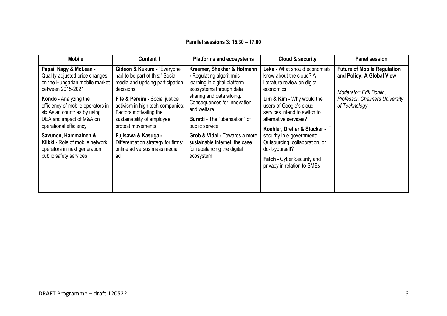#### **Parallel sessions 3: 15.30 – 17.00**

| <b>Mobile</b>                                                                                                                                                                                                                                                       | <b>Content 1</b>                                                                                                                                                                                                                                                    | <b>Platforms and ecosystems</b>                                                                                                                                                                                                                         | Cloud & security                                                                                                                                                                                                                                         | <b>Panel session</b>                                                                                                                          |
|---------------------------------------------------------------------------------------------------------------------------------------------------------------------------------------------------------------------------------------------------------------------|---------------------------------------------------------------------------------------------------------------------------------------------------------------------------------------------------------------------------------------------------------------------|---------------------------------------------------------------------------------------------------------------------------------------------------------------------------------------------------------------------------------------------------------|----------------------------------------------------------------------------------------------------------------------------------------------------------------------------------------------------------------------------------------------------------|-----------------------------------------------------------------------------------------------------------------------------------------------|
| Papai, Nagy & McLean -<br>Quality-adjusted price changes<br>on the Hungarian mobile market<br>between 2015-2021<br>Kondo - Analyzing the<br>efficiency of mobile operators in<br>six Asian countries by using<br>DEA and impact of M&A on<br>operational efficiency | Gideon & Kukura - "Everyone<br>had to be part of this:" Social<br>media and uprising participation<br>decisions<br>Fife & Pereira - Social justice<br>activism in high tech companies:<br>Factors motivating the<br>sustainability of employee<br>protest movements | Kraemer, Shekhar & Hofmann<br>- Regulating algorithmic<br>learning in digital platform<br>ecosystems through data<br>sharing and data siloing:<br>Consequences for innovation<br>and welfare<br><b>Buratti - The "uberisation" of</b><br>public service | Leka - What should economists<br>know about the cloud? A<br>literature review on digital<br>economics<br>Lim & Kim - Why would the<br>users of Google's cloud<br>services intend to switch to<br>alternative services?<br>Koehler, Dreher & Stocker - IT | <b>Future of Mobile Regulation</b><br>and Policy: A Global View<br>Moderator: Erik Bohlin,<br>Professor, Chalmers University<br>of Technology |
| Savunen, Hammainen &<br>Kilkki - Role of mobile network<br>operators in next generation<br>public safety services                                                                                                                                                   | Fujisawa & Kasuga -<br>Differentiation strategy for firms:<br>online ad versus mass media<br>ad                                                                                                                                                                     | Grob & Vidal - Towards a more<br>sustainable Internet: the case<br>for rebalancing the digital<br>ecosystem                                                                                                                                             | security in e-government:<br>Outsourcing, collaboration, or<br>do-it-yourself?<br>Falch - Cyber Security and<br>privacy in relation to SMEs                                                                                                              |                                                                                                                                               |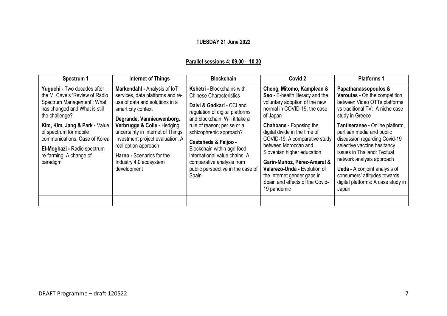#### **TUESDAY 21 June 2022**

#### **Parallel sessions 4: 09.00 – 10.30**

| Spectrum 1                                                                                                                                                                      | <b>Internet of Things</b>                                                                                                                                                            | <b>Blockchain</b>                                                                                                                                                                                    | Covid 2                                                                                                                                                                                                                                                              | <b>Platforms 1</b>                                                                                                                                                                                                                                                           |
|---------------------------------------------------------------------------------------------------------------------------------------------------------------------------------|--------------------------------------------------------------------------------------------------------------------------------------------------------------------------------------|------------------------------------------------------------------------------------------------------------------------------------------------------------------------------------------------------|----------------------------------------------------------------------------------------------------------------------------------------------------------------------------------------------------------------------------------------------------------------------|------------------------------------------------------------------------------------------------------------------------------------------------------------------------------------------------------------------------------------------------------------------------------|
| Yuguchi - Two decades after<br>the M. Cave's 'Review of Radio<br>Spectrum Management': What<br>has changed and What is still<br>the challenge?<br>Kim, Kim, Jang & Park - Value | Markendahl - Analysis of loT<br>services, data platforms and re-<br>use of data and solutions in a<br>smart city context<br>Degrande, Vannieuwenborg,<br>Verbrugge & Colle - Hedging | <b>Kshetri - Blockchains with</b><br><b>Chinese Characteristics</b><br>Dalvi & Gadkari - CCI and<br>regulation of digital platforms<br>and blockchain: Will it take a<br>rule of reason; per se or a | Cheng, Mitomo, Kamplean &<br>Seo - E-health literacy and the<br>voluntary adoption of the new<br>normal in COVID-19: the case<br>of Japan<br><b>Chahbane - Exposing the</b>                                                                                          | Papathanassopoulos &<br>Varoutas - On the competition<br>between Video OTTs platforms<br>vs traditional TV: A niche case<br>study in Greece<br>Tantiseranee - Online platform,                                                                                               |
| of spectrum for mobile<br>communications: Case of Korea<br>El-Moghazi - Radio spectrum<br>re-farming: A change of<br>paradigm                                                   | uncertainty in Internet of Things<br>investment project evaluation: A<br>real option approach<br>Harno - Scenarios for the<br>Industry 4.0 ecosystem<br>development                  | schizophrenic approach?<br>Castañeda & Feijoo -<br>Blockchain within agri-food<br>international value chains. A<br>comparative analysis from<br>public perspective in the case of<br>Spain           | digital divide in the time of<br>COVID-19: A comparative study<br>between Moroccan and<br>Slovenian higher education<br>Garín-Muñoz, Pérez-Amaral &<br>Valarezo-Unda - Evolution of<br>the Internet gender gaps in<br>Spain and effects of the Covid-<br>19 pandemic | partisan media and public<br>discussion regarding Covid-19<br>selective vaccine hesitancy<br>issues in Thailand: Textual<br>network analysis approach<br><b>Ueda - A conjoint analysis of</b><br>consumers' attitudes towards<br>digital platforms: A case study in<br>Japan |
|                                                                                                                                                                                 |                                                                                                                                                                                      |                                                                                                                                                                                                      |                                                                                                                                                                                                                                                                      |                                                                                                                                                                                                                                                                              |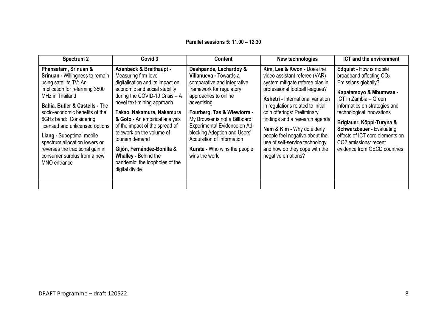#### **Parallel sessions 5: 11.00 – 12.30**

| Spectrum 2                                                                                                                                                                                                                                                                                                                                                                                                                       | Covid 3                                                                                                                                                                                                                                                                                                                                                                                                                                                   | <b>Content</b>                                                                                                                                                                                                                                                                                                                                                      | New technologies                                                                                                                                                                                                                                                                                                                                                                                                                            | <b>ICT</b> and the environment                                                                                                                                                                                                                                                                                                                                             |
|----------------------------------------------------------------------------------------------------------------------------------------------------------------------------------------------------------------------------------------------------------------------------------------------------------------------------------------------------------------------------------------------------------------------------------|-----------------------------------------------------------------------------------------------------------------------------------------------------------------------------------------------------------------------------------------------------------------------------------------------------------------------------------------------------------------------------------------------------------------------------------------------------------|---------------------------------------------------------------------------------------------------------------------------------------------------------------------------------------------------------------------------------------------------------------------------------------------------------------------------------------------------------------------|---------------------------------------------------------------------------------------------------------------------------------------------------------------------------------------------------------------------------------------------------------------------------------------------------------------------------------------------------------------------------------------------------------------------------------------------|----------------------------------------------------------------------------------------------------------------------------------------------------------------------------------------------------------------------------------------------------------------------------------------------------------------------------------------------------------------------------|
| Phansatarn, Srinuan &<br><b>Srinuan - Willingness to remain</b><br>using satellite TV: An<br>implication for refarming 3500<br>MHz in Thailand<br>Bahia, Butler & Castells - The<br>socio-economic benefits of the<br>6GHz band: Considering<br>licensed and unlicensed options<br>Liang - Suboptimal mobile<br>spectrum allocation lowers or<br>reverses the traditional gain in<br>consumer surplus from a new<br>MNO entrance | <b>Axenbeck &amp; Breithaupt -</b><br>Measuring firm-level<br>digitalisation and its impact on<br>economic and social stability<br>during the COVID-19 Crisis - A<br>novel text-mining approach<br>Takao, Nakamura, Nakamura<br>& Goto - An empirical analysis<br>of the impact of the spread of<br>telework on the volume of<br>tourism demand<br>Gijón, Fernández-Bonilla &<br>Whalley - Behind the<br>pandemic: the loopholes of the<br>digital divide | Deshpande, Lechardoy &<br>Villanueva - Towards a<br>comparative and integrative<br>framework for regulatory<br>approaches to online<br>advertising<br>Fourberg, Tas & Wiewiorra -<br>My Browser is not a Billboard:<br>Experimental Evidence on Ad-<br>blocking Adoption and Users'<br>Acquisition of Information<br>Kurata - Who wins the people<br>wins the world | Kim, Lee & Kwon - Does the<br>video assistant referee (VAR)<br>system mitigate referee bias in<br>professional football leagues?<br><b>Kshetri - International variation</b><br>in regulations related to initial<br>coin offerings: Preliminary<br>findings and a research agenda<br>Nam & Kim - Why do elderly<br>people feel negative about the<br>use of self-service technology<br>and how do they cope with the<br>negative emotions? | <b>Edquist - How is mobile</b><br>broadband affecting CO <sub>2</sub><br>Emissions globally?<br>Kapatamoyo & Mbumwae -<br>ICT in Zambia - Green<br>informatics on strategies and<br>technological innovations<br>Briglauer, Köppl-Turyna &<br><b>Schwarzbauer - Evaluating</b><br>effects of ICT core elements on<br>CO2 emissions: recent<br>evidence from OECD countries |
|                                                                                                                                                                                                                                                                                                                                                                                                                                  |                                                                                                                                                                                                                                                                                                                                                                                                                                                           |                                                                                                                                                                                                                                                                                                                                                                     |                                                                                                                                                                                                                                                                                                                                                                                                                                             |                                                                                                                                                                                                                                                                                                                                                                            |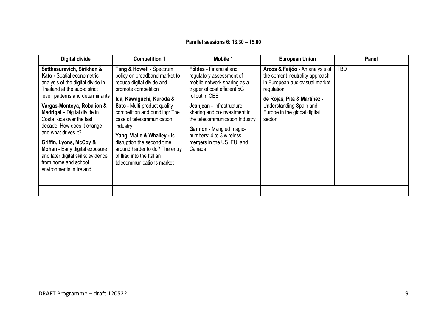#### **Parallel sessions 6: 13.30 – 15.00**

| <b>Digital divide</b>                                                                                                                                                                                                                                                                                                                                                                                                                                                  | <b>Competition 1</b>                                                                                                                                                                                                                                                                                                                                                                                         | <b>Mobile 1</b>                                                                                                                                                                                                                                                                                                                          | <b>European Union</b>                                                                                                                                                                                                  | Panel      |
|------------------------------------------------------------------------------------------------------------------------------------------------------------------------------------------------------------------------------------------------------------------------------------------------------------------------------------------------------------------------------------------------------------------------------------------------------------------------|--------------------------------------------------------------------------------------------------------------------------------------------------------------------------------------------------------------------------------------------------------------------------------------------------------------------------------------------------------------------------------------------------------------|------------------------------------------------------------------------------------------------------------------------------------------------------------------------------------------------------------------------------------------------------------------------------------------------------------------------------------------|------------------------------------------------------------------------------------------------------------------------------------------------------------------------------------------------------------------------|------------|
| Setthasuravich, Sirikhan &<br>Kato - Spatial econometric<br>analysis of the digital divide in<br>Thailand at the sub-district<br>level: patterns and determinants<br>Vargas-Montoya, Robalion &<br>Madrigal - Digital divide in<br>Costa Rica over the last<br>decade: How does it change<br>and what drives it?<br>Griffin, Lyons, McCoy &<br>Mohan - Early digital exposure<br>and later digital skills: evidence<br>from home and school<br>environments in Ireland | Tang & Howell - Spectrum<br>policy on broadband market to<br>reduce digital divide and<br>promote competition<br>Ida, Kawaguchi, Kuroda &<br>Sato - Multi-product quality<br>competition and bundling: The<br>case of telecommunication<br>industry<br>Yang, Vialle & Whalley - Is<br>disruption the second time<br>around harder to do? The entry<br>of Iliad into the Italian<br>telecommunications market | <b>Földes - Financial and</b><br>regulatory assessment of<br>mobile network sharing as a<br>trigger of cost efficient 5G<br>rollout in CEE<br>Jeanjean - Infrastructure<br>sharing and co-investment in<br>the telecommunication Industry<br>Gannon - Mangled magic-<br>numbers: 4 to 3 wireless<br>mergers in the US, EU, and<br>Canada | Arcos & Feijóo - An analysis of<br>the content-neutrality approach<br>in European audiovisual market<br>regulation<br>de Rojas, Pita & Martínez -<br>Understanding Spain and<br>Europe in the global digital<br>sector | <b>TBD</b> |
|                                                                                                                                                                                                                                                                                                                                                                                                                                                                        |                                                                                                                                                                                                                                                                                                                                                                                                              |                                                                                                                                                                                                                                                                                                                                          |                                                                                                                                                                                                                        |            |